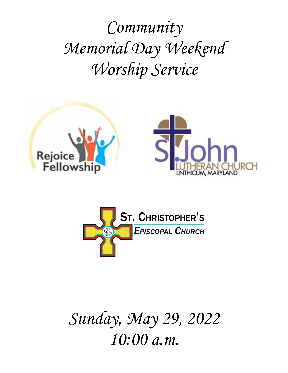*Community Memorial Day Weekend Worship Service*







*Sunday, May 29, 2022 10:00 a.m.*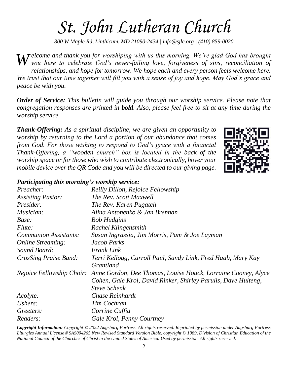# *St. John Lutheran Church*

*300 W Maple Rd, Linthicum, MD 21090-2434 | info@sjlc.org | (410) 859-0020*

*elcome and thank you for worshiping with us this morning. We're glad God has brought*  W elcome and thank you for worshiping with us this morning. We're glad God has brought you here to celebrate God's never-failing love, forgiveness of sins, reconciliation of *relationships, and hope for tomorrow. We hope each and every person feels welcome here. We trust that our time together will fill you with a sense of joy and hope. May God's grace and peace be with you.*

*Order of Service: This bulletin will guide you through our worship service. Please note that congregation responses are printed in bold. Also, please feel free to sit at any time during the worship service.*

*Thank-Offering: As a spiritual discipline, we are given an opportunity to worship by returning to the Lord a portion of our abundance that comes from God. For those wishing to respond to God's grace with a financial Thank-Offering, a "wooden church" box is located in the back of the worship space or for those who wish to contribute electronically, hover your mobile device over the QR Code and you will be directed to our giving page.*



## *Participating this morning's worship service:*

| <i>Preacher:</i>                 | Reilly Dillon, Rejoice Fellowship                              |
|----------------------------------|----------------------------------------------------------------|
| <b>Assisting Pastor:</b>         | The Rev. Scott Maxwell                                         |
| <i>Presider:</i>                 | The Rev. Karen Pugatch                                         |
| Musician:                        | Alina Antonenko & Jan Brennan                                  |
| Base:                            | <b>Bob Hudgins</b>                                             |
| Flute:                           | Rachel Klingensmith                                            |
| <b>Communion Assistants:</b>     | Susan Ingrassia, Jim Morris, Pam & Joe Layman                  |
| <b>Online Streaming:</b>         | Jacob Parks                                                    |
| Sound Board:                     | Frank Link                                                     |
| CrosSing Praise Band:            | Terri Kellogg, Carroll Paul, Sandy Link, Fred Haab, Mary Kay   |
|                                  | <i>Grantland</i>                                               |
| <i>Rejoice Fellowship Choir:</i> | Anne Gordon, Dee Thomas, Louise Houck, Lorraine Cooney, Alyce  |
|                                  | Cohen, Gale Krol, David Rinker, Shirley Parulis, Dave Hulteng, |
|                                  | <b>Steve Schenk</b>                                            |
| Acolyte:                         | Chase Reinhardt                                                |
| Ushers:                          | Tim Cochran                                                    |
| Greeters:                        | Corrine Cuffia                                                 |
| Readers:                         | Gale Krol, Penny Courtney                                      |

*Copyright Information: Copyright © 2022 Augsburg Fortress. All rights reserved. Reprinted by permission under Augsburg Fortress Liturgies Annual License # SAS004265 New Revised Standard Version Bible, copyright © 1989, Division of Christian Education of the National Council of the Churches of Christ in the United States of America. Used by permission. All rights reserved.*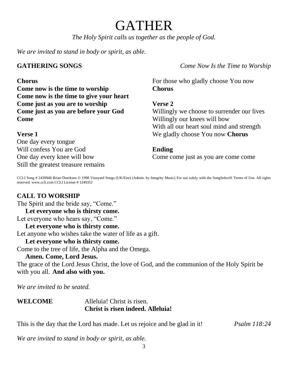GATHER

*The Holy Spirit calls us together as the people of God.*

*We are invited to stand in body or spirit, as able.*

## **Chorus**

**Come now is the time to worship Come now is the time to give your heart Come just as you are to worship Come just as you are before your God Come**

**Verse 1**

One day every tongue Will confess You are God One day every knee will bow Still the greatest treasure remains

**GATHERING SONGS** *Come Now Is the Time to Worship*

For those who gladly choose You now **Chorus**

**Verse 2** Willingly we choose to surrender our lives Willingly our knees will bow With all our heart soul mind and strength We gladly choose You now **Chorus**

## **Ending**

Come come just as you are come come

CCLI Song # 2430948 Brian Doerksen © 1998 Vineyard Songs (UK/Eire) (Admin. by Integrity Music) For use solely with the SongSelect® Terms of Use. All rights reserved. www.ccli.com CCLI License # 1249352

## **CALL TO WORSHIP**

The Spirit and the bride say, "Come." **Let everyone who is thirsty come.** Let everyone who hears say, "Come." **Let everyone who is thirsty come.**

Let anyone who wishes take the water of life as a gift.

### **Let everyone who is thirsty come.**

Come to the tree of life, the Alpha and the Omega.

## **Amen. Come, Lord Jesus.**

The grace of the Lord Jesus Christ, the love of God, and the communion of the Holy Spirit be with you all. **And also with you.**

*We are invited to be seated.*

## **WELCOME** Alleluia! Christ is risen. **Christ is risen indeed. Alleluia!**

This is the day that the Lord has made. Let us rejoice and be glad in it! *Psalm 118:24*

*We are invited to stand in body or spirit, as able.*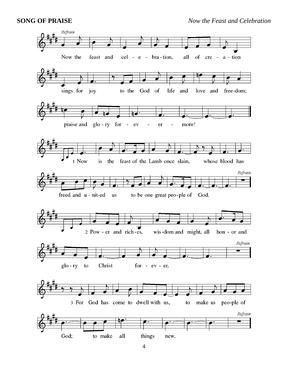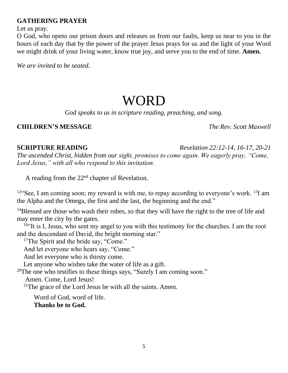## **GATHERING PRAYER**

Let us pray.

O God, who opens our prison doors and releases us from our faults, keep us near to you in the hours of each day that by the power of the prayer Jesus prays for us and the light of your Word we might drink of your living water, know true joy, and serve you to the end of time. **Amen.**

*We are invited to be seated.*

# WORD

*God speaks to us in scripture reading, preaching, and song.*

## **CHILDREN'S MESSAGE** *The Rev. Scott Maxwell*

## **SCRIPTURE READING** *Revelation 22:12-14, 16-17, 20-21*

*The ascended Christ, hidden from our sight, promises to come again. We eagerly pray, "Come, Lord Jesus," with all who respond to this invitation.*

A reading from the  $22<sup>nd</sup>$  chapter of Revelation.

<sup>12"</sup>See, I am coming soon; my reward is with me, to repay according to everyone's work. <sup>13</sup>I am the Alpha and the Omega, the first and the last, the beginning and the end."

<sup>14</sup>Blessed are those who wash their robes, so that they will have the right to the tree of life and may enter the city by the gates.

<sup>16"</sup>It is I, Jesus, who sent my angel to you with this testimony for the churches. I am the root and the descendant of David, the bright morning star."

<sup>17</sup>The Spirit and the bride say, "Come."

And let everyone who hears say, "Come."

And let everyone who is thirsty come.

Let anyone who wishes take the water of life as a gift.

<sup>20</sup>The one who testifies to these things says, "Surely I am coming soon."

Amen. Come, Lord Jesus!

<sup>21</sup>The grace of the Lord Jesus be with all the saints. Amen.

Word of God, word of life.

**Thanks be to God.**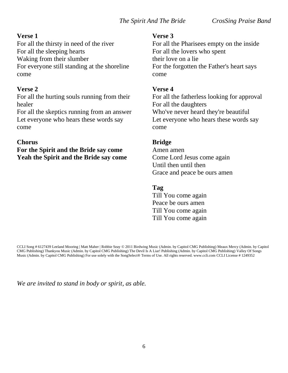## *The Spirit And The Bride CrosSing Praise Band*

## **Verse 1**

For all the thirsty in need of the river For all the sleeping hearts Waking from their slumber For everyone still standing at the shoreline come

## **Verse 2**

For all the hurting souls running from their healer

For all the skeptics running from an answer Let everyone who hears these words say come

## **Chorus**

## **For the Spirit and the Bride say come Yeah the Spirit and the Bride say come**

## **Verse 3**

For all the Pharisees empty on the inside For all the lovers who spent their love on a lie For the forgotten the Father's heart says come

## **Verse 4**

For all the fatherless looking for approval For all the daughters Who've never heard they're beautiful Let everyone who hears these words say come

## **Bridge**

Amen amen Come Lord Jesus come again Until then until then Grace and peace be ours amen

## **Tag**

Till You come again Peace be ours amen Till You come again Till You come again

CCLI Song # 6127439 Leeland Mooring | Matt Maher | Robbie Seay © 2011 Birdwing Music (Admin. by Capitol CMG Publishing) Meaux Mercy (Admin. by Capitol CMG Publishing) Thankyou Music (Admin. by Capitol CMG Publishing) The Devil Is A Liar! Publishing (Admin. by Capitol CMG Publishing) Valley Of Songs Music (Admin. by Capitol CMG Publishing) For use solely with the SongSelect® Terms of Use. All rights reserved. www.ccli.com CCLI License # 1249352

*We are invited to stand in body or spirit, as able.*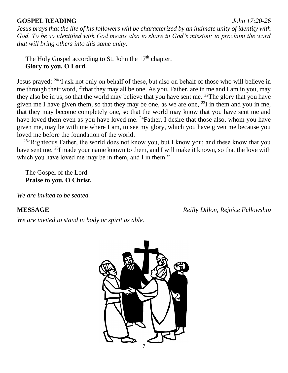## **GOSPEL READING** *John 17:20-26*

*Jesus prays that the life of his followers will be characterized by an intimate unity of identity with God. To be so identified with God means also to share in God's mission: to proclaim the word that will bring others into this same unity.*

The Holy Gospel according to St. John the 17<sup>th</sup> chapter. **Glory to you, O Lord.**

Jesus prayed: <sup>20</sup>"I ask not only on behalf of these, but also on behalf of those who will believe in me through their word, <sup>21</sup>that they may all be one. As you, Father, are in me and I am in you, may they also be in us, so that the world may believe that you have sent me. <sup>22</sup>The glory that you have given me I have given them, so that they may be one, as we are one,  $^{23}$ I in them and you in me, that they may become completely one, so that the world may know that you have sent me and have loved them even as you have loved me. <sup>24</sup>Father, I desire that those also, whom you have given me, may be with me where I am, to see my glory, which you have given me because you loved me before the foundation of the world.

 $25$ "Righteous Father, the world does not know you, but I know you; and these know that you have sent me. <sup>26</sup>I made your name known to them, and I will make it known, so that the love with which you have loved me may be in them, and I in them."

The Gospel of the Lord. **Praise to you, O Christ.**

*We are invited to be seated.*

*We are invited to stand in body or spirit as able.*

**MESSAGE** *Reilly Dillon, Rejoice Fellowship*

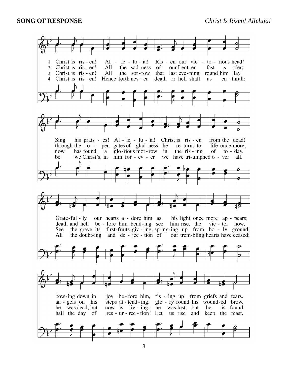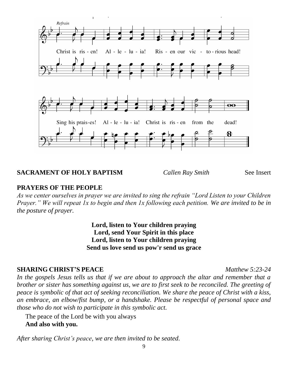

### **SACRAMENT OF HOLY BAPTISM** *Callen Ray Smith* See Insert

### **PRAYERS OF THE PEOPLE**

*As we center ourselves in prayer we are invited to sing the refrain "Lord Listen to your Children Prayer." We will repeat 1x to begin and then 1x following each petition. We are invited to be in the posture of prayer.*

> **Lord, listen to Your children praying Lord, send Your Spirit in this place Lord, listen to Your children praying Send us love send us pow'r send us grace**

### **SHARING CHRIST'S PEACE** *Matthew 5:23-24*

*In the gospels Jesus tells us that if we are about to approach the altar and remember that a brother or sister has something against us, we are to first seek to be reconciled. The greeting of peace is symbolic of that act of seeking reconciliation. We share the peace of Christ with a kiss, an embrace, an elbow/fist bump, or a handshake. Please be respectful of personal space and those who do not wish to participate in this symbolic act.*

The peace of the Lord be with you always **And also with you.**

*After sharing Christ's peace, we are then invited to be seated.*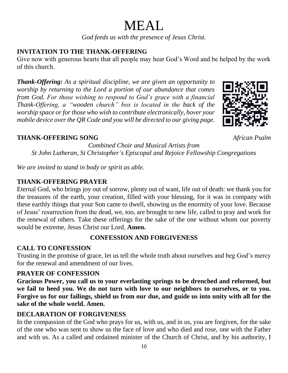# MEAL.

*God feeds us with the presence of Jesus Christ.*

## **INVITATION TO THE THANK-OFFERING**

Give now with generous hearts that all people may hear God's Word and be helped by the work of this church.

*Thank-Offering: As a spiritual discipline, we are given an opportunity to worship by returning to the Lord a portion of our abundance that comes from God. For those wishing to respond to God's grace with a financial Thank-Offering, a "wooden church" box is located in the back of the worship space or for those who wish to contribute electronically, hover your mobile device over the QR Code and you will be directed to our giving page.*

## **THANK-OFFERING SONG** *African Psalm*

*Combined Choir and Musical Artists from St John Lutheran, St Christopher's Episcopal and Rejoice Fellowship Congregations*

*We are invited to stand in body or spirit as able.*

## **THANK-OFFERING PRAYER**

Eternal God, who brings joy out of sorrow, plenty out of want, life out of death: we thank you for the treasures of the earth, your creation, filled with your blessing, for it was in company with these earthly things that your Son came to dwell, showing us the enormity of your love. Because of Jesus' resurrection from the dead, we, too, are brought to new life, called to pray and work for the renewal of others. Take these offerings for the sake of the one without whom our poverty would be extreme, Jesus Christ our Lord. **Amen.**

## **CONFESSION AND FORGIVENESS**

## **CALL TO CONFESSION**

Trusting in the promise of grace, let us tell the whole truth about ourselves and beg God's mercy for the renewal and amendment of our lives.

## **PRAYER OF CONFESSION**

**Gracious Power, you call us to your everlasting springs to be drenched and reformed, but we fail to heed you. We do not turn with love to our neighbors to ourselves, or to you. Forgive us for our failings, shield us from our due, and guide us into unity with all for the sake of the whole world. Amen.** 

## **DECLARATION OF FORGIVENESS**

In the compassion of the God who prays for us, with us, and in us, you are forgiven, for the sake of the one who was sent to show us the face of love and who died and rose, one with the Father and with us. As a called and ordained minister of the Church of Christ, and by his authority, I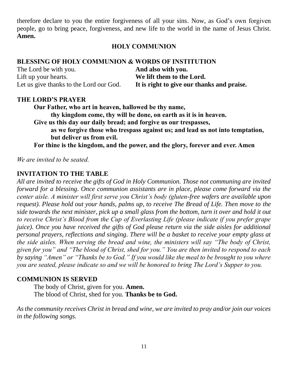therefore declare to you the entire forgiveness of all your sins. Now, as God's own forgiven people, go to bring peace, forgiveness, and new life to the world in the name of Jesus Christ. **Amen.**

## **HOLY COMMUNION**

## **BLESSING OF HOLY COMMUNION & WORDS OF INSTITUTION**

The Lord be with you. **And also with you.** Lift up your hearts. **We lift them to the Lord.** Let us give thanks to the Lord our God. **It is right to give our thanks and praise.**

## **THE LORD'S PRAYER**

**Our Father, who art in heaven, hallowed be thy name, thy kingdom come, thy will be done, on earth as it is in heaven. Give us this day our daily bread; and forgive us our trespasses, as we forgive those who trespass against us; and lead us not into temptation, but deliver us from evil. For thine is the kingdom, and the power, and the glory, forever and ever. Amen**

*We are invited to be seated.*

## **INVITATION TO THE TABLE**

*All are invited to receive the gifts of God in Holy Communion. Those not communing are invited forward for a blessing. Once communion assistants are in place, please come forward via the center aisle. A minister will first serve you Christ's body (gluten-free wafers are available upon request). Please hold out your hands, palms up, to receive The Bread of Life. Then move to the side towards the next minister, pick up a small glass from the bottom, turn it over and hold it out to receive Christ's Blood from the Cup of Everlasting Life (please indicate if you prefer grape juice). Once you have received the gifts of God please return via the side aisles for additional personal prayers, reflections and singing. There will be a basket to receive your empty glass at the side aisles. When serving the bread and wine, the ministers will say "The body of Christ, given for you" and "The blood of Christ, shed for you." You are then invited to respond to each by saying "Amen" or "Thanks be to God." If you would like the meal to be brought to you where you are seated, please indicate so and we will be honored to bring The Lord's Supper to you.*

## **COMMUNION IS SERVED**

The body of Christ, given for you. **Amen.** The blood of Christ, shed for you. **Thanks be to God.**

*As the community receives Christ in bread and wine, we are invited to pray and/or join our voices in the following songs.*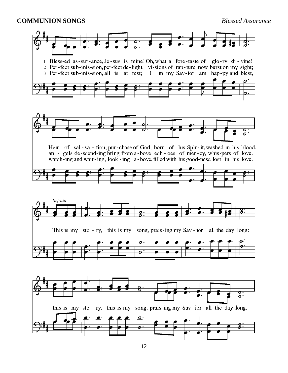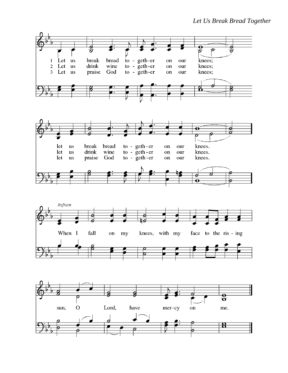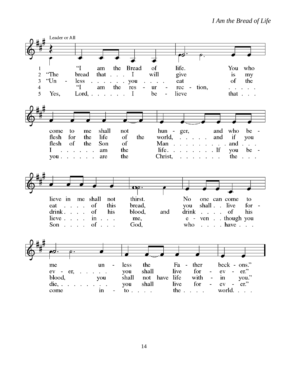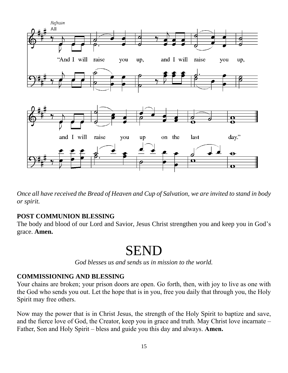

*Once all have received the Bread of Heaven and Cup of Salvation, we are invited to stand in body or spirit.*

## **POST COMMUNION BLESSING**

The body and blood of our Lord and Savior, Jesus Christ strengthen you and keep you in God's grace. **Amen.**

# SEN

*God blesses us and sends us in mission to the world.*

## **COMMISSIONING AND BLESSING**

Your chains are broken; your prison doors are open. Go forth, then, with joy to live as one with the God who sends you out. Let the hope that is in you, free you daily that through you, the Holy Spirit may free others.

Now may the power that is in Christ Jesus, the strength of the Holy Spirit to baptize and save, and the fierce love of God, the Creator, keep you in grace and truth. May Christ love incarnate – Father, Son and Holy Spirit – bless and guide you this day and always. **Amen.**